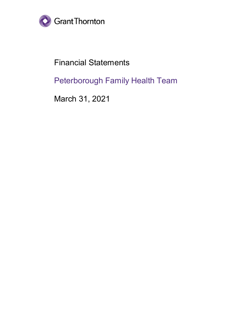

# Financial Statements

Peterborough Family Health Team

March 31, 2021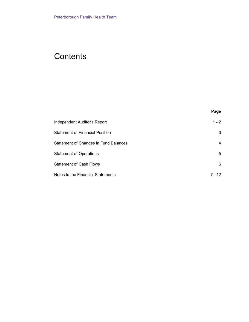# **Contents**

| . .<br>×<br>×<br>۰, |
|---------------------|
|---------------------|

| Independent Auditor's Report           | $1 - 2$ |
|----------------------------------------|---------|
| <b>Statement of Financial Position</b> | 3       |
| Statement of Changes in Fund Balances  | 4       |
| <b>Statement of Operations</b>         | 5       |
| <b>Statement of Cash Flows</b>         | 6       |
| Notes to the Financial Statements      | 7 - 12  |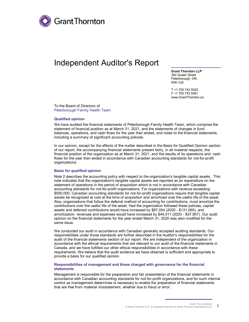

# Independent Auditor's Report

**Grant Thornton LLP** 362 Queen Street Peterborough, ON K9H 3J6

T +1 705 743 5020 F +1 705 743 5081 www.GrantThornton.ca

To the Board of Directors of Peterborough Family Health Team

#### **Qualified opinion**

We have audited the financial statements of Peterborough Family Health Team, which comprise the statement of financial position as at March 31, 2021, and the statements of changes in fund balances, operations, and cash flows for the year then ended, and notes to the financial statements, including a summary of significant accounting policies.

In our opinion, except for the effects of the matter described in the Basis for Qualified Opinion section of our report, the accompanying financial statements present fairly, in all material respects, the financial position of the organization as at March 31, 2021, and the results of its operations and cash flows for the year then ended in accordance with Canadian accounting standards for not-for-profit organizations.

#### **Basis for qualified opinion**

Note 2 describes the accounting policy with respect to the organization's tangible capital assets. This note indicates that the organization's tangible capital assets are reported as an expenditure on the statement of operations in the period of acquisition which is not in accordance with Canadian accounting standards for not-for-profit organizations. For organizations with revenue exceeding \$500,000, Canadian accounting standards for not-for-profit organizations require that tangible capital assets be recognized at cost at the time of acquisition and amortized over the useful life of the asset. Also, organizations that follow the deferral method of accounting for contributions, must amortize the contributions over the useful life of the asset. Had the organization followed these policies, capital assets and deferred contributions would have increased by \$87,054 (2020 - \$131,065), and amortization revenues and expenses would have increased by \$44,011 (2020 - \$37,907). Our audit opinion on the financial statements for the year ended March 31, 2020 was also modified for the same issue.

We conducted our audit in accordance with Canadian generally accepted auditing standards. Our responsibilities under those standards are further described in the Auditor's responsibilities for the audit of the financial statements section of our report. We are independent of the organization in accordance with the ethical requirements that are relevant to our audit of the financial statements in Canada, and we have fulfilled our other ethical responsibilities in accordance with these requirements. We believe that the audit evidence we have obtained is sufficient and appropriate to provide a basis for our qualified opinion.

#### **Responsibilities of management and those charged with governance for the financial statements**

Management is responsible for the preparation and fair presentation of the financial statements in accordance with Canadian accounting standards for not-for-profit organizations, and for such internal control as management determines is necessary to enable the preparation of financial statements that are free from material misstatement, whether due to fraud or error.

> Audit | Tax | Advisory © Grant Thornton LLP. A Canadian Member of Grant Thornton International Ltd 1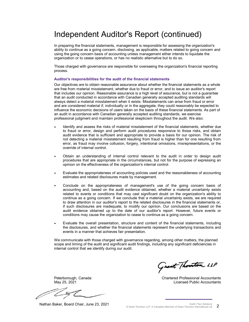# Independent Auditor's Report (continued)

In preparing the financial statements, management is responsible for assessing the organization's ability to continue as a going concern, disclosing, as applicable, matters related to going concern and using the going concern basis of accounting unless management either intends to liquidate the organization or to cease operations, or has no realistic alternative but to do so.

Those charged with governance are responsible for overseeing the organization's financial reporting process.

#### **Auditor's responsibilities for the audit of the financial statements**

Our objectives are to obtain reasonable assurance about whether the financial statements as a whole are free from material misstatement, whether due to fraud or error, and to issue an auditor's report that includes our opinion. Reasonable assurance is a high level of assurance, but is not a guarantee that an audit conducted in accordance with Canadian generally accepted auditing standards will always detect a material misstatement when it exists. Misstatements can arise from fraud or error and are considered material if, individually or in the aggregate, they could reasonably be expected to influence the economic decisions of users taken on the basis of these financial statements. As part of an audit in accordance with Canadian generally accepted auditing standards, we exercise professional judgment and maintain professional skepticism throughout the audit. We also:

- Identify and assess the risks of material misstatement of the financial statements, whether due to fraud or error, design and perform audit procedures responsive to those risks, and obtain audit evidence that is sufficient and appropriate to provide a basis for our opinion. The risk of not detecting a material misstatement resulting from fraud is higher than for one resulting from error, as fraud may involve collusion, forgery, intentional omissions, misrepresentations, or the override of internal control.
- Obtain an understanding of internal control relevant to the audit in order to design audit procedures that are appropriate in the circumstances, but not for the purpose of expressing an opinion on the effectiveness of the organization's internal control.
- Evaluate the appropriateness of accounting policies used and the reasonableness of accounting estimates and related disclosures made by management.
- Conclude on the appropriateness of management's use of the going concern basis of accounting and, based on the audit evidence obtained, whether a material uncertainty exists related to events or conditions that may cast significant doubt on the organization's ability to continue as a going concern. If we conclude that a material uncertainty exists, we are required to draw attention in our auditor's report to the related disclosures in the financial statements or, if such disclosures are inadequate, to modify our opinion. Our conclusions are based on the audit evidence obtained up to the date of our auditor's report. However, future events or conditions may cause the organization to cease to continue as a going concern.
- Evaluate the overall presentation, structure and content of the financial statements, including the disclosures, and whether the financial statements represent the underlying transactions and events in a manner that achieves fair presentation.

We communicate with those charged with governance regarding, among other matters, the planned scope and timing of the audit and significant audit findings, including any significant deficiencies in internal control that we identify during our audit.

Grant Thouton LLP

Peterborough, Canada May 25, 2021

Chartered Professional Accountants Licensed Public Accountants

Nathan Baker, Board Chair, June 23, 2021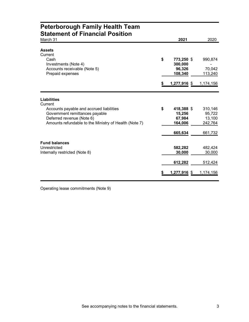### **Peterborough Family Health Team Statement of Financial Position**

| March 31                                              | 2021             | 2020      |
|-------------------------------------------------------|------------------|-----------|
| <b>Assets</b><br>Current<br>Cash                      | \$<br>773,250 \$ | 990,874   |
| Investments (Note 4)                                  | 300,000          |           |
| Accounts receivable (Note 5)                          | 96,326           | 70,042    |
| Prepaid expenses                                      | 108,340          | 113,240   |
|                                                       | 1,277,916 \$     | 1,174,156 |
| <b>Liabilities</b>                                    |                  |           |
| Current<br>Accounts payable and accrued liabilities   | \$<br>418,388 \$ | 310,146   |
| Government remittances payable                        | 15,256           | 95,722    |
| Deferred revenue (Note 6)                             | 67,984           | 13,100    |
| Amounts refundable to the Ministry of Health (Note 7) | 164,006          | 242,764   |
|                                                       | 665,634          | 661,732   |
| <b>Fund balances</b>                                  |                  |           |
| Unrestricted                                          | 582,282          | 482,424   |
| Internally restricted (Note 8)                        | 30,000           | 30,000    |
|                                                       | 612,282          | 512,424   |
|                                                       | 1,277,916 \$     | 1,174,156 |

Operating lease commitments (Note 9)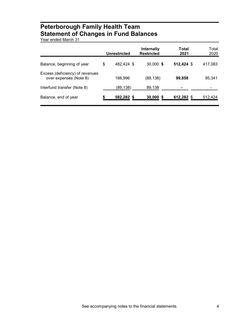## **Peterborough Family Health Team Statement of Changes in Fund Balances**

Year ended March 31

|                                                           | <b>Unrestricted</b> | <b>Internally</b><br><b>Restricted</b> | Total<br>2021 | Total<br>2020 |
|-----------------------------------------------------------|---------------------|----------------------------------------|---------------|---------------|
| Balance, beginning of year                                | \$<br>482,424 \$    | 30,000 \$                              | 512,424 \$    | 417,083       |
| Excess (deficiency) of revenues<br>over expenses (Note 8) | 188,996             | (89,138)                               | 99,858        | 95.341        |
| Interfund transfer (Note 8)                               | (89,138)            | 89,138                                 |               |               |
| Balance, end of year                                      | 582,282 \$          | $30,000$ \$                            | 612,282 \$    | 512,424       |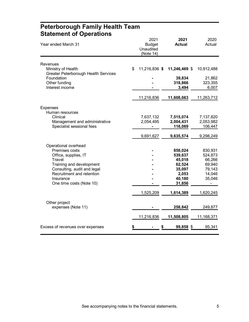| alvonum vi vpvi                                                        |                                                 |                       |                |
|------------------------------------------------------------------------|-------------------------------------------------|-----------------------|----------------|
| Year ended March 31                                                    | 2021<br><b>Budget</b><br>Unaudited<br>(Note 14) | 2021<br><b>Actual</b> | 2020<br>Actual |
|                                                                        |                                                 |                       |                |
| Revenues<br>Ministry of Health<br>Greater Peterborough Health Services | \$<br>11,216,836 \$                             | 11,246,469 \$         | 10,912,488     |
| Foundation                                                             |                                                 | 39,834                | 21,862         |
| Other funding                                                          |                                                 | 318,866               | 323,355        |
| Interest income                                                        |                                                 | 3,494                 | 6,007          |
|                                                                        | 11,216,836                                      | 11,608,663            | 11,263,712     |
| <b>Expenses</b>                                                        |                                                 |                       |                |
| Human resources                                                        |                                                 |                       |                |
| Clinical                                                               | 7,637,132                                       | 7,515,074             | 7,137,820      |
| Management and administrative                                          | 2,054,495                                       | 2,004,431             | 2,053,982      |
| Specialist sessional fees                                              |                                                 | 116,069               | 106,447        |
|                                                                        | 9,691,627                                       | 9,635,574             | 9,298,249      |
| Operational overhead                                                   |                                                 |                       |                |
| Premises costs                                                         |                                                 | 858,024               | 830,931        |
| Office, supplies, IT                                                   |                                                 | 539,637               | 524,873        |
| Travel                                                                 |                                                 | 45,018                | 66,266         |
| Training and development                                               |                                                 | 62,524                | 69,940         |
| Consulting, audit and legal                                            |                                                 | 35,097                | 79,143         |
| Recruitment and retention                                              |                                                 | 2,053                 | 14,046         |
| Insurance                                                              |                                                 | 40,180                | 35,046         |
| One time costs (Note 10)                                               |                                                 | 31,856                |                |
|                                                                        | 1,525,209                                       | 1,614,389             | 1,620,245      |
|                                                                        |                                                 |                       |                |
| Other project                                                          |                                                 |                       |                |
| expenses (Note 11)                                                     |                                                 | 258,842               | 249,877        |
|                                                                        | 11,216,836                                      | 11,508,805            | 11,168,371     |
| Excess of revenues over expenses                                       | \$                                              | \$<br>$99,858$ \$     | 95,341         |
|                                                                        |                                                 |                       |                |

### **Peterborough Family Health Team Statement of Operations**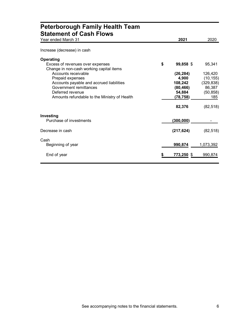| Peterborough Family Health Team                                                           |                 |            |
|-------------------------------------------------------------------------------------------|-----------------|------------|
| <b>Statement of Cash Flows</b><br>Year ended March 31                                     | 2021            | 2020       |
| Increase (decrease) in cash                                                               |                 |            |
| Operating<br>Excess of revenues over expenses<br>Change in non-cash working capital items | \$<br>99,858 \$ | 95,341     |
| Accounts receivable                                                                       | (26, 284)       | 126,420    |
| Prepaid expenses                                                                          | 4,900           | (10, 155)  |
| Accounts payable and accrued liabilities                                                  | 108,242         | (329, 838) |
| Government remittances                                                                    | (80, 466)       | 86,387     |
| Deferred revenue                                                                          | 54,884          | (50, 858)  |
| Amounts refundable to the Ministry of Health                                              | (78, 758)       | 185        |
|                                                                                           | 82,376          | (82, 518)  |
| Investing<br>Purchase of investments                                                      | (300, 000)      |            |
| Decrease in cash                                                                          | (217, 624)      | (82, 518)  |
| Cash<br>Beginning of year                                                                 | 990,874         | 1,073,392  |
| End of year                                                                               | 773,250 \$      | 990,874    |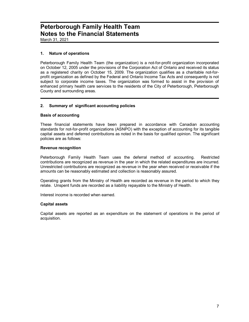March 31, 2021

### **1. Nature of operations**

Peterborough Family Health Team (the organization) is a not-for-profit organization incorporated on October 12, 2005 under the provisions of the Corporation Act of Ontario and received its status as a registered charity on October 15, 2009. The organization qualifies as a charitable not-forprofit organization as defined by the Federal and Ontario Income Tax Acts and consequently is not subject to corporate income taxes. The organization was formed to assist in the provision of enhanced primary health care services to the residents of the City of Peterborough, Peterborough County and surrounding areas.

### **2. Summary of significant accounting policies**

#### **Basis of accounting**

These financial statements have been prepared in accordance with Canadian accounting standards for not-for-profit organizations (ASNPO) with the exception of accounting for its tangible capital assets and deferred contributions as noted in the basis for qualified opinion. The significant policies are as follows:

#### **Revenue recognition**

Peterborough Family Health Team uses the deferral method of accounting. Restricted contributions are recognized as revenue in the year in which the related expenditures are incurred. Unrestricted contributions are recognized as revenue in the year when received or receivable if the amounts can be reasonably estimated and collection is reasonably assured.

Operating grants from the Ministry of Health are recorded as revenue in the period to which they relate. Unspent funds are recorded as a liability repayable to the Ministry of Health.

Interest income is recorded when earned.

#### **Capital assets**

Capital assets are reported as an expenditure on the statement of operations in the period of acquisition.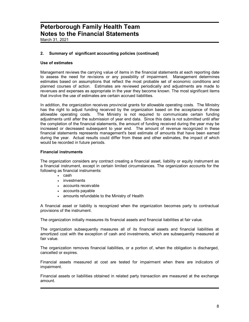March 31, 2021

### **2. Summary of significant accounting policies (continued)**

#### **Use of estimates**

Management reviews the carrying value of items in the financial statements at each reporting date to assess the need for revisions or any possibility of impairment. Management determines estimates based on assumptions that reflect the most probable set of economic conditions and planned courses of action. Estimates are reviewed periodically and adjustments are made to revenues and expenses as appropriate in the year they become known. The most significant items that involve the use of estimates are certain accrued liabilities.

In addition, the organization receives provincial grants for allowable operating costs. The Ministry has the right to adjust funding received by the organization based on the acceptance of those allowable operating costs. The Ministry is not required to communicate certain funding adjustments until after the submission of year end data. Since this data is not submitted until after the completion of the financial statements, the amount of funding received during the year may be increased or decreased subsequent to year end. The amount of revenue recognized in these financial statements represents management's best estimate of amounts that have been earned during the year. Actual results could differ from these and other estimates, the impact of which would be recorded in future periods.

### **Financial instruments**

The organization considers any contract creating a financial asset, liability or equity instrument as a financial instrument, except in certain limited circumstances. The organization accounts for the following as financial instruments:

- cash
- investments
- accounts receivable
- accounts payable
- amounts refundable to the Ministry of Health

A financial asset or liability is recognized when the organization becomes party to contractual provisions of the instrument.

The organization initially measures its financial assets and financial liabilities at fair value.

The organization subsequently measures all of its financial assets and financial liabilities at amortized cost with the exception of cash and investments, which are subsequently measured at fair value.

The organization removes financial liabilities, or a portion of, when the obligation is discharged, cancelled or expires.

Financial assets measured at cost are tested for impairment when there are indicators of impairment.

Financial assets or liabilities obtained in related party transaction are measured at the exchange amount.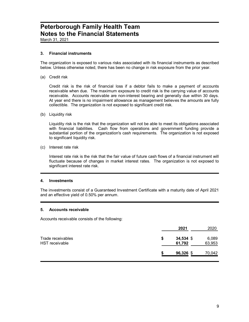March 31, 2021

### **3. Financial instruments**

The organization is exposed to various risks associated with its financial instruments as described below. Unless otherwise noted, there has been no change in risk exposure from the prior year.

(a) Credit risk

Credit risk is the risk of financial loss if a debtor fails to make a payment of accounts receivable when due. The maximum exposure to credit risk is the carrying value of accounts receivable. Accounts receivable are non-interest bearing and generally due within 30 days. At year end there is no impairment allowance as management believes the amounts are fully collectible. The organization is not exposed to significant credit risk.

(b) Liquidity risk

Liquidity risk is the risk that the organization will not be able to meet its obligations associated with financial liabilities. Cash flow from operations and government funding provide a substantial portion of the organization's cash requirements. The organization is not exposed to significant liquidity risk.

(c) Interest rate risk

Interest rate risk is the risk that the fair value of future cash flows of a financial instrument will fluctuate because of changes in market interest rates. The organization is not exposed to significant interest rate risk.

#### **4. Investments**

The investments consist of a Guaranteed Investment Certificate with a maturity date of April 2021 and an effective yield of 0.50% per annum.

#### **5. Accounts receivable**

Accounts receivable consists of the following:

|                   |   | 2021        | 2020   |
|-------------------|---|-------------|--------|
| Trade receivables | S | $34,534$ \$ | 6,089  |
| HST receivable    |   | 61,792      | 63,953 |
|                   |   | $96,326$ \$ | 70,042 |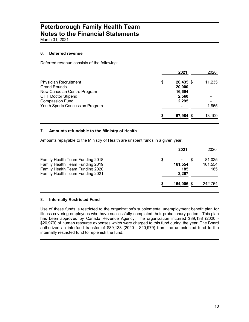March 31, 2021

### **6. Deferred revenue**

Deferred revenue consists of the following:

|                                 | 2021            | 2020   |
|---------------------------------|-----------------|--------|
| <b>Physician Recruitment</b>    | \$<br>26,435 \$ | 11,235 |
| <b>Grand Rounds</b>             | 20,000          |        |
| New Canadian Centre Program     | 16,694          |        |
| <b>OHT Doctor Stipend</b>       | 2,560           |        |
| <b>Compassion Fund</b>          | 2,295           |        |
| Youth Sports Concussion Program | -               | 1,865  |
|                                 | 67,984 \$       | 13,100 |

### **7. Amounts refundable to the Ministry of Health**

Amounts repayable to the Ministry of Health are unspent funds in a given year.

|                                        |   | 2021       | 2020    |
|----------------------------------------|---|------------|---------|
| <b>Family Health Team Funding 2018</b> | S | ۰          | 81,025  |
| Family Health Team Funding 2019        |   | 161,554    | 161,554 |
| Family Health Team Funding 2020        |   | 185        | 185     |
| Family Health Team Funding 2021        |   | 2,267      | ۰       |
|                                        |   | 164,006 \$ | 242,764 |

#### **8. Internally Restricted Fund**

Use of these funds is restricted to the organization's supplemental unemployment benefit plan for illness covering employees who have successfully completed their probationary period. This plan has been approved by Canada Revenue Agency. The organization incurred \$89,138 (2020 - \$20,979) of human resource expenses which were charged to this fund during the year. The Board authorized an interfund transfer of \$89,138 (2020 - \$20,979) from the unrestricted fund to the internally restricted fund to replenish the fund.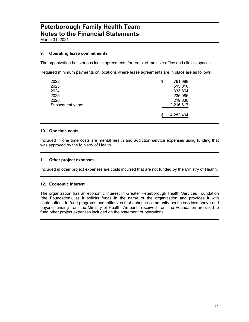### **9. Operating lease commitments**

The organization has various lease agreements for rental of multiple office and clinical spaces.

Required minimum payments on locations where lease agreements are in place are as follows:

| 2022             | \$<br>761,998   |
|------------------|-----------------|
| 2023             | 515,010         |
| 2024             | 333,864         |
| 2025             | 235,085         |
| 2026             | 219,830         |
| Subsequent years | 2,216,617       |
|                  |                 |
|                  | \$<br>4,282,404 |

#### **10. One time costs**

Included in one time costs are mental health and addiction service expenses using funding that was approved by the Ministry of Health.

#### **11. Other project expenses**

Included in other project expenses are costs incurred that are not funded by the Ministry of Health.

#### **12. Economic interest**

The organization has an economic interest in Greater Peterborough Health Services Foundation (the Foundation), as it solicits funds in the name of the organization and provides it with contributions to fund programs and initiatives that enhance community health services above and beyond funding from the Ministry of Health. Amounts received from the Foundation are used to fund other project expenses included on the statement of operations.